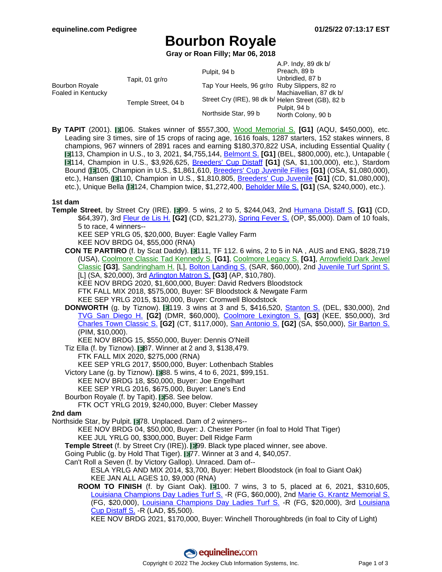# **Bourbon Royale**

**Gray or Roan Filly; Mar 06, 2018**

|                                      |                     |                                                    | A.P. Indy, 89 dk b/     |
|--------------------------------------|---------------------|----------------------------------------------------|-------------------------|
|                                      |                     | Pulpit, 94 b                                       | Preach, 89 b            |
| Bourbon Royale<br>Foaled in Kentucky | Tapit, 01 gr/ro     |                                                    | Unbridled, 87 b         |
|                                      |                     | Tap Your Heels, 96 gr/ro Ruby Slippers, 82 ro      |                         |
|                                      |                     |                                                    | Machiavellian, 87 dk b/ |
|                                      | Temple Street, 04 b | Street Cry (IRE), 98 dk b/ Helen Street (GB), 82 b |                         |
|                                      |                     |                                                    | Pulpit, 94 b            |
|                                      |                     | Northside Star, 99 b                               | North Colony, 90 b      |
|                                      |                     |                                                    |                         |

**By TAPIT** (2001). 106. Stakes winner of \$557,300, Wood [Memorial](https://www.equineline.com/dotVideoChart.cfm?track=AQU&country=USA&race_date=2004-04-10&refno=6106474®istry=T&race_name=Wood+Memorial+S.&race_number=8&day_evening=D&product_reference_number=40PA) S. **[G1]** (AQU, \$450,000), etc. Leading sire 3 times, sire of 15 crops of racing age, 1616 foals, 1287 starters, 152 stakes winners, 8 champions, 967 winners of 2891 races and earning \$180,370,822 USA, including Essential Quality ( **■113**, Champion in U.S., to 3, 2021, \$4,755,144, **[Belmont](https://www.equineline.com/dotVideoChart.cfm?track=BEL&country=USA&race_date=2021-06-05&raceid=mp4:2021/1308/202106051847BED11_1308.mp4&refno=10435982®istry=T&race_name=Belmont+S.&race_number=11&day_evening=D&product_reference_number=40PA) S. [G1]** (BEL, \$800,000), etc.), Untapable ( **114, Champion in U.S., \$3,926,625, B[reeders'](https://www.equineline.com/dotVideoChart.cfm?track=SA+&country=USA&race_date=2014-10-31&raceid=mp4:2014/1308/201410311932SAD9_1308.f4v&refno=9097137®istry=T&race_name=Breeders) Cup Distaff [G1] (SA, \$1,100,000), etc.), Stardom** Bound ( 105, Champion in U.S., \$1,861,610, [Breeders'](https://www.equineline.com/dotVideoChart.cfm?track=OSA&country=USA&race_date=2008-10-24&raceid=mp4:2008/1308/200810241654OAD5_1308.f4v&refno=7741170®istry=T&race_name=Breeders) Cup Juvenile Fillies **[G1]** (OSA, \$1,080,000), etc.), Hansen ( 110, Champion in U.S., \$1,810,805, [Breeders'](https://www.equineline.com/dotVideoChart.cfm?track=CD+&country=USA&race_date=2011-11-05&raceid=mp4:2011/1308/201111051723CHD9_1308.f4v&refno=8604885®istry=T&race_name=Breeders) Cup Juvenile **[G1]** (CD, \$1,080,000), etc.), Unique Bella ( 124, Champion twice, \$1,272,400, [Beholder](https://www.equineline.com/dotVideoChart.cfm?track=SA+&country=USA&race_date=2018-06-02&raceid=mp4:2018/1308/201806021953SAD9_1308.mp4&refno=9663718®istry=T&race_name=Beholder+Mile+S.&race_number=9&day_evening=D&product_reference_number=40PA) Mile S. **[G1]** (SA, \$240,000), etc.).

### **1st dam**

- **Temple Street**, by Street Cry (IRE). 199. 5 wins, 2 to 5, \$244,043, 2nd Humana [Distaff](https://www.equineline.com/dotVideoChart.cfm?track=CD+&country=USA&race_date=2009-05-02&raceid=mp4:2009/1308/200905021555CHD9_1308.f4v&refno=7113644®istry=T&race_name=Humana+Distaff+S.&race_number=9&day_evening=D&product_reference_number=40PA) S. [G1] (CD, \$64,397), 3rd [Fleur](https://www.equineline.com/dotVideoChart.cfm?track=CD+&country=USA&race_date=2009-06-13&raceid=mp4:2009/1308/200906131657CHD9_1308.f4v&refno=7113644®istry=T&race_name=Fleur+de+Lis+H.&race_number=9&day_evening=D&product_reference_number=40PA) de Lis H. **[G2]** (CD, \$21,273), [Spring](https://www.equineline.com/dotVideoChart.cfm?track=OP+&country=USA&race_date=2009-02-21&raceid=mp4:2009/1308/200902211811OPM9_1308.f4v&refno=7113644®istry=T&race_name=Spring+Fever+S.&race_number=9&day_evening=D&product_reference_number=40PA) Fever S. (OP, \$5,000). Dam of 10 foals, 5 to race, 4 winners--
	- KEE SEP YRLG 05, \$20,000, Buyer: Eagle Valley Farm KEE NOV BRDG 04, \$55,000 (RNA)
	- **CON TE PARTIRO** (f. by Scat Daddy). **111**, TF 112. 6 wins, 2 to 5 in NA, AUS and ENG, \$828,719 (USA), [Coolmore](https://www.equineline.com/dotVideoChart.cfm?track=ROH&country=AUS&race_date=2020-03-14&refno=9730341®istry=T&race_name=Coolmore+Classic+Tad+Kennedy+S.&race_number=7&day_evening=D&product_reference_number=40PA) Classic Tad Kennedy S. **[G1]**, [Coolmore](https://www.equineline.com/dotVideoChart.cfm?track=RAN&country=AUS&race_date=2020-04-11&refno=9730341®istry=T&race_name=Coolmore+Legacy+S.&race_number=9&day_evening=D&product_reference_number=40PA) Legacy S. **[G1]**, [Arrowfield](https://www.equineline.com/dotVideoChart.cfm?track=SCN&country=AUS&race_date=2019-05-11&refno=9730341®istry=T&race_name=Arrowfield+Dark+Jewel+Classic&race_number=7&day_evening=D&product_reference_number=40PA) Dark Jewel [Classic](https://www.equineline.com/dotVideoChart.cfm?track=SCN&country=AUS&race_date=2019-05-11&refno=9730341®istry=T&race_name=Arrowfield+Dark+Jewel+Classic&race_number=7&day_evening=D&product_reference_number=40PA) **[G3]**, [Sandringham](https://www.equineline.com/dotVideoChart.cfm?track=ASC&country=ENG&race_date=2017-06-21&refno=9730341®istry=T&race_name=Sandringham+H.&race_number=6&day_evening=D&product_reference_number=40PA) H. [L], Bolton [Landing](https://www.equineline.com/dotVideoChart.cfm?track=SAR&country=USA&race_date=2016-08-17&raceid=mp4:2016/1308/201608171739STD9_1308.mp4&refno=9730341®istry=T&race_name=Bolton+Landing+S.&race_number=9&day_evening=D&product_reference_number=40PA) S. (SAR, \$60,000), 2nd J[uvenile](https://www.equineline.com/dotVideoChart.cfm?track=SA+&country=USA&race_date=2016-11-05&raceid=mp4:2016/1308/201611051314SAD1_1308.mp4&refno=9730341®istry=T&race_name=Juvenile+Turf+Sprint+S.&race_number=1&day_evening=D&product_reference_number=40PA) Turf Sprint S. [L] (SA, \$20,000), 3rd [Arlington](https://www.equineline.com/dotVideoChart.cfm?track=AP+&country=USA&race_date=2018-05-19&raceid=mp4:2018/1308/201805191744APM7_1308.mp4&refno=9730341®istry=T&race_name=Arlington+Matron+S.&race_number=7&day_evening=D&product_reference_number=40PA) Matron S. **[G3]** (AP, \$10,780).
		- KEE NOV BRDG 2020, \$1,600,000, Buyer: David Redvers Bloodstock
		- FTK FALL MIX 2018, \$575,000, Buyer: SF Bloodstock & Newgate Farm
		- KEE SEP YRLG 2015, \$130,000, Buyer: Cromwell Bloodstock
	- **DONWORTH** (g. by Tiznow). 119. 3 wins at 3 and 5, \$416,520, Sta[nton](https://www.equineline.com/dotVideoChart.cfm?track=DEL&country=USA&race_date=2015-06-20&raceid=mp4:2015/1308/201506201544DLD6_1308.f4v&refno=9365404®istry=T&race_name=Stanton+S.&race_number=6&day_evening=D&product_reference_number=40PA) S. (DEL, \$30,000), 2nd TVG San [Diego](https://www.equineline.com/dotVideoChart.cfm?track=DMR&country=USA&race_date=2017-07-22&raceid=mp4:2017/1308/201707222103DMD9_1308.mp4&refno=9365404®istry=T&race_name=TVG+San+Diego+H.&race_number=9&day_evening=D&product_reference_number=40PA) H. **[G2]** (DMR, \$60,000), Coolmore [Lexington](https://www.equineline.com/dotVideoChart.cfm?track=KEE&country=USA&race_date=2015-04-11&raceid=mp4:2015/1308/201504111715KED10_1308.f4v&refno=9365404®istry=T&race_name=Coolmore+Lexington+S.&race_number=10&day_evening=D&product_reference_number=40PA) S. **[G3]** (KEE, \$50,000), 3rd [Charles](https://www.equineline.com/dotVideoChart.cfm?track=CT+&country=USA&race_date=2016-04-23&raceid=mp4:2016/1308/201604231810TWN12_1308.mp4&refno=9365404®istry=T&race_name=Charles+Town+Classic+S.&race_number=12&day_evening=D&product_reference_number=40PA) Town Classic S. **[G2]** (CT, \$117,000), San [Antonio](https://www.equineline.com/dotVideoChart.cfm?track=SA+&country=USA&race_date=2016-02-06&raceid=mp4:2016/1308/201602061846SAD7_1308.mp4&refno=9365404®istry=T&race_name=San+Antonio+S.&race_number=7&day_evening=D&product_reference_number=40PA) S. **[G2]** (SA, \$50,000), Sir [Barton](https://www.equineline.com/dotVideoChart.cfm?track=PIM&country=USA&race_date=2015-05-16&raceid=mp4:2015/1308/201505161348PIM7_1308.f4v&refno=9365404®istry=T&race_name=Sir+Barton+S.&race_number=7&day_evening=D&product_reference_number=40PA) S. (PIM, \$10,000).
		- KEE NOV BRDG 15, \$550,000, Buyer: Dennis O'Neill
	- Tiz Ella (f. by Tiznow).  $\blacksquare$ 87. Winner at 2 and 3, \$138,479.
		- FTK FALL MIX 2020, \$275,000 (RNA)
		- KEE SEP YRLG 2017, \$500,000, Buyer: Lothenbach Stables
	- Victory Lane (g. by Tiznow). 88. 5 wins, 4 to 6, 2021, \$99,151. KEE NOV BRDG 18, \$50,000, Buyer: Joe Engelhart
		- KEE SEP YRLG 2016, \$675,000, Buyer: Lane's End
	- Bourbon Royale (f. by Tapit). **158. See below.**
	- FTK OCT YRLG 2019, \$240,000, Buyer: Cleber Massey

### **2nd dam**

- Northside Star, by Pulpit. 178. Unplaced. Dam of 2 winners--
	- KEE NOV BRDG 04, \$50,000, Buyer: J. Chester Porter (in foal to Hold That Tiger)
		- KEE JUL YRLG 00, \$300,000, Buyer: Dell Ridge Farm
	- **Temple Street** (f. by Street Cry (IRE)). **199.** Black type placed winner, see above.
	- Going Public (g. by Hold That Tiger). **1977.** Winner at 3 and 4, \$40,057.
	- Can't Roll a Seven (f. by Victory Gallop). Unraced. Dam of--

ESLA YRLG AND MIX 2014, \$3,700, Buyer: Hebert Bloodstock (in foal to Giant Oak) KEE JAN ALL AGES 10, \$9,000 (RNA)

- **ROOM TO FINISH** (f. by Giant Oak). 100. 7 wins, 3 to 5, placed at 6, 2021, \$310,605, Louisiana [Champions](https://www.equineline.com/dotVideoChart.cfm?track=FG+&country=USA&race_date=2020-12-12&raceid=mp4:2020/1308/202012121624JGD8_1308.mp4&refno=9924614®istry=T&race_name=Louisiana+Champions+Day+Ladies+Turf+S.&race_number=8&day_evening=D&product_reference_number=40PA) Day Ladies Turf S. -R (FG, \$60,000), 2nd Marie G. Krantz [Memorial](https://www.equineline.com/dotVideoChart.cfm?track=FG+&country=USA&race_date=2021-01-16&raceid=mp4:2021/1308/202101161653JGD9_1308.mp4&refno=9924614®istry=T&race_name=Marie+G.+Krantz+Memorial+S.&race_number=9&day_evening=D&product_reference_number=40PA) S. (FG, \$20,000), Louisiana [Champions](https://www.equineline.com/dotVideoChart.cfm?track=FG+&country=USA&race_date=2019-12-14&raceid=mp4:2019/1308/201912141749JGD11_1308.mp4&refno=9924614®istry=T&race_name=Louisiana+Champions+Day+Ladies+Turf+S.&race_number=11&day_evening=D&product_reference_number=40PA) Day Ladies Turf S. -R (FG, \$20,000), 3rd Loui[siana](https://www.equineline.com/dotVideoChart.cfm?track=LAD&country=USA&race_date=2020-09-19&raceid=mp4:2020/1308/202009191757LDM5_1308.mp4&refno=9924614®istry=T&race_name=Louisiana+Cup+Distaff+S.&race_number=5&day_evening=D&product_reference_number=40PA) Cup [Distaff](https://www.equineline.com/dotVideoChart.cfm?track=LAD&country=USA&race_date=2020-09-19&raceid=mp4:2020/1308/202009191757LDM5_1308.mp4&refno=9924614®istry=T&race_name=Louisiana+Cup+Distaff+S.&race_number=5&day_evening=D&product_reference_number=40PA) S. -R (LAD, \$5,500).
	- KEE NOV BRDG 2021, \$170,000, Buyer: Winchell Thoroughbreds (in foal to City of Light)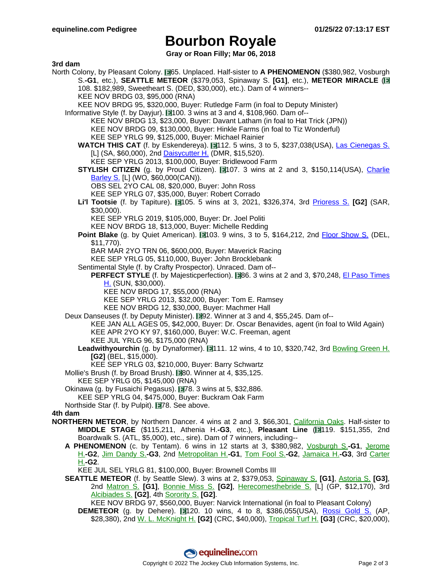# **Bourbon Royale**

**Gray or Roan Filly; Mar 06, 2018**

#### **3rd dam**

- North Colony, by Pleasant Colony. **1965.** Unplaced. Half-sister to **A PHENOMENON** (\$380,982, Vosburgh S.**-G1**, etc.), **SEATTLE METEOR** (\$379,053, Spinaway S. **[G1]**, etc.), **METEOR MIRACLE** ( 108. \$182,989, Sweetheart S. (DED, \$30,000), etc.). Dam of 4 winners-- KEE NOV BRDG 03, \$95,000 (RNA)
	- KEE NOV BRDG 95, \$320,000, Buyer: Rutledge Farm (in foal to Deputy Minister)
	- Informative Style (f. by Dayjur). 1100. 3 wins at 3 and 4, \$108,960. Dam of--KEE NOV BRDG 13, \$23,000, Buyer: Davant Latham (in foal to Hat Trick (JPN)) KEE NOV BRDG 09, \$130,000, Buyer: Hinkle Farms (in foal to Tiz Wonderful) KEE SEP YRLG 99, \$125,000, Buyer: Michael Rainier
		- WATCH THIS CAT (f. by Eskendereya). 112. 5 wins, 3 to 5, \$237,038(USA), Las [Cienegas](https://www.equineline.com/dotVideoChart.cfm?track=SA+&country=USA&race_date=2017-01-07&raceid=mp4:2017/1308/201701071629SAD3_1308.mp4&refno=9341110®istry=T&race_name=Las+Cienegas+S.&race_number=3&day_evening=D&product_reference_number=40PA) S. [L] (SA, \$60,000), 2nd [Daisycutter](https://www.equineline.com/dotVideoChart.cfm?track=DMR&country=USA&race_date=2017-08-04&raceid=mp4:2017/1308/201708041959DMD3_1308.mp4&refno=9341110®istry=T&race_name=Daisycutter+H.&race_number=3&day_evening=D&product_reference_number=40PA) H. (DMR, \$15,520).

KEE SEP YRLG 2013, \$100,000, Buyer: Bridlewood Farm

- **STYLISH CITIZEN** (g. by Proud Citizen). 107. 3 wins at 2 and 3, \$150,114(USA), Charlie [Barley](https://www.equineline.com/dotVideoChart.cfm?track=WO+&country=CAN&race_date=2009-06-20&raceid=mp4:2009/1308/200906201632WOT8_1308.f4v&refno=7820097®istry=T&race_name=Charlie+Barley+S.&race_number=8&day_evening=D&product_reference_number=40PA) S. [L] (WO, \$60,000(CAN)).
	- OBS SEL 2YO CAL 08, \$20,000, Buyer: John Ross
	- KEE SEP YRLG 07, \$35,000, Buyer: Robert Corrado
- **Li'l Tootsie** (f. by Tapiture). 105. 5 wins at 3, 2021, \$326,374, 3rd Prioress S. **[\[G2\]](https://www.equineline.com/dotVideoChart.cfm?track=SAR&country=USA&race_date=2021-09-04&raceid=mp4:2021/1308/202109041446STD5_1308.mp4&refno=10465642®istry=T&race_name=Prioress+S.&race_number=5&day_evening=D&product_reference_number=40PA)** (SAR, \$30,000).

KEE SEP YRLG 2019, \$105,000, Buyer: Dr. Joel Politi

KEE NOV BRDG 18, \$13,000, Buyer: Michelle Redding

**Point Blake** (g. by Quiet American). 1103. 9 wins, 3 to 5, \$164,212, 2nd Floor [Show](https://www.equineline.com/dotVideoChart.cfm?track=DEL&country=USA&race_date=2007-06-19&raceid=mp4:2007/300/200706191557DLD8_300.f4v&refno=7126524®istry=T&race_name=Floor+Show+S.&race_number=8&day_evening=D&product_reference_number=40PA) S. (DEL, \$11,770).

BAR MAR 2YO TRN 06, \$600,000, Buyer: Maverick Racing

KEE SEP YRLG 05, \$110,000, Buyer: John Brocklebank

- Sentimental Style (f. by Crafty Prospector). Unraced. Dam of--
	- **PERFECT STYLE** (f. by Majesticperfection). **86.** 3 wins at 2 and 3, \$70,248, El Paso [Times](https://www.equineline.com/dotVideoChart.cfm?track=SUN&country=USA&race_date=2015-01-25&raceid=mp4:2015/1308/201501251753SND9_1308.f4v&refno=9303234®istry=T&race_name=El+Paso+Times+H.&race_number=9&day_evening=D&product_reference_number=40PA) [H.](https://www.equineline.com/dotVideoChart.cfm?track=SUN&country=USA&race_date=2015-01-25&raceid=mp4:2015/1308/201501251753SND9_1308.f4v&refno=9303234®istry=T&race_name=El+Paso+Times+H.&race_number=9&day_evening=D&product_reference_number=40PA) (SUN, \$30,000).
		- KEE NOV BRDG 17, \$55,000 (RNA)
		- KEE SEP YRLG 2013, \$32,000, Buyer: Tom E. Ramsey
		- KEE NOV BRDG 12, \$30,000, Buyer: Machmer Hall
- Deux Danseuses (f. by Deputy Minister). 192. Winner at 3 and 4, \$55,245. Dam of--KEE JAN ALL AGES 05, \$42,000, Buyer: Dr. Oscar Benavides, agent (in foal to Wild Again) KEE APR 2YO KY 97, \$160,000, Buyer: W.C. Freeman, agent KEE JUL YRLG 96, \$175,000 (RNA)
	- **Leadwithyourchin** (g. by Dynaformer). 111. 12 wins, 4 to 10, \$320,742, 3rd [Bowling](https://www.equineline.com/dotVideoChart.cfm?track=BEL&country=USA&race_date=2006-07-15&refno=6533151®istry=T&race_name=Bowling+Green+H.&race_number=8&day_evening=D&product_reference_number=40PA) Green H. **[G2]** (BEL, \$15,000).

KEE SEP YRLG 03, \$210,000, Buyer: Barry Schwartz

- Mollie's Brush (f. by Broad Brush). 180. Winner at 4, \$35,125.
- KEE SEP YRLG 05, \$145,000 (RNA)
- Okinawa (g. by Fusaichi Pegasus). 78. 3 wins at 5, \$32,886. KEE SEP YRLG 04, \$475,000, Buyer: Buckram Oak Farm
- Northside Star (f. by Pulpit). 78. See above.

#### **4th dam**

- **NORTHERN METEOR**, by Northern Dancer. 4 wins at 2 and 3, \$66,301, California [Oaks. H](https://www.equineline.com/dotVideoChart.cfm?track=GG+&country=USA&race_date=1978-03-25&refno=634738®istry=T&race_name=California+Oaks&race_number=8&day_evening=D&product_reference_number=40PA)alf-sister to **MIDDLE STAGE** (\$115,211, Athenia H.**-G3**, etc.), **Pleasant Line** ( 119. \$151,355, 2nd Boardwalk S. (ATL, \$5,000), etc., sire). Dam of 7 winners, including--
	- **A PHENOMENON** (c. by Tentam). 6 wins in 12 starts at 3, \$380,982, Vosburgh S.**[-G1](https://www.equineline.com/dotVideoChart.cfm?track=AQU&country=USA&race_date=1983-10-22&refno=811295®istry=T&race_name=Vosburgh+S.&race_number=8&day_evening=D&product_reference_number=40PA)**, Jerome H.**-G2**, Jim [Dandy](https://www.equineline.com/dotVideoChart.cfm?track=SAR&country=USA&race_date=1983-07-31&refno=811295®istry=T&race_name=Jim+Dandy+S.&race_number=8&day_evening=D&product_reference_number=40PA) S.**-G3**, 2nd M[etropolitan](https://www.equineline.com/dotVideoChart.cfm?track=BEL&country=USA&race_date=1984-05-28&refno=811295®istry=T&race_name=Metropolitan+H.&race_number=8&day_evening=D&product_reference_number=40PA) H.**-G1**, Tom [Fool](https://www.equineline.com/dotVideoChart.cfm?track=BEL&country=USA&race_date=1984-07-22&refno=811295®istry=T&race_name=Tom+Fool+S.&race_number=8&day_evening=D&product_reference_number=40PA) S.**-G2**, Jamaica H.**[-G3](https://www.equineline.com/dotVideoChart.cfm?track=BEL&country=USA&race_date=1983-10-09&refno=811295®istry=T&race_name=Jamaica+H.&race_number=8&day_evening=D&product_reference_number=40PA)**, 3rd Carte[r](https://www.equineline.com/dotVideoChart.cfm?track=AQU&country=USA&race_date=1984-05-05&refno=811295®istry=T&race_name=Carter+H.&race_number=8&day_evening=D&product_reference_number=40PA) H.**-G2**.

KEE JUL SEL YRLG 81, \$100,000, Buyer: Brownell Combs III

**SEATTLE METEOR** (f. by Seattle Slew). 3 wins at 2, \$379,053, S[pinaway](https://www.equineline.com/dotVideoChart.cfm?track=SAR&country=USA&race_date=1988-08-29&refno=1072672®istry=T&race_name=Spinaway+S.&race_number=8&day_evening=D&product_reference_number=40PA) S. **[G1]**, As[toria](https://www.equineline.com/dotVideoChart.cfm?track=BEL&country=USA&race_date=1988-07-13&refno=1072672®istry=T&race_name=Astoria+S.&race_number=8&day_evening=D&product_reference_number=40PA) S. **[G3]**, 2nd [Matron](https://www.equineline.com/dotVideoChart.cfm?track=BEL&country=USA&race_date=1988-10-02&refno=1072672®istry=T&race_name=Matron+S.&race_number=8&day_evening=D&product_reference_number=40PA) S. **[G1]**, Bonnie [Miss](https://www.equineline.com/dotVideoChart.cfm?track=GP+&country=USA&race_date=1989-03-05&refno=1072672®istry=T&race_name=Bonnie+Miss+S.&race_number=10&day_evening=D&product_reference_number=40PA) S. **[G2]**, Here[comesthebride](https://www.equineline.com/dotVideoChart.cfm?track=GP+&country=USA&race_date=1989-02-15&refno=1072672®istry=T&race_name=Herecomesthebride+S.&race_number=9&day_evening=D&product_reference_number=40PA) S. [L] (GP, \$12,170), 3rd [Alcibiades](https://www.equineline.com/dotVideoChart.cfm?track=KEE&country=USA&race_date=1988-10-14&refno=1072672®istry=T&race_name=Alcibiades+S.&race_number=8&day_evening=D&product_reference_number=40PA) S. **[G2]**, 4th [Sorority](https://www.equineline.com/dotVideoChart.cfm?track=MTH&country=USA&race_date=1988-08-06&refno=1072672®istry=T&race_name=Sorority+S.&race_number=9&day_evening=D&product_reference_number=40PA) S. **[G2]**.

KEE NOV BRDG 97, \$560,000, Buyer: Narvick International (in foal to Pleasant Colony)

**DEMETEOR** (g. by Dehere). 120. 10 wins, 4 to 8, \$386,055(USA), Rossi Gold S. [\(AP,](https://www.equineline.com/dotVideoChart.cfm?track=AP+&country=USA&race_date=2007-09-03&raceid=mp4:2007/300/200709031631APM6_300.f4v&refno=4962246®istry=T&race_name=Rossi+Gold+S.&race_number=6&day_evening=D&product_reference_number=40PA) \$28,380), 2nd W. L. [McKnight](https://www.equineline.com/dotVideoChart.cfm?track=CRC&country=USA&race_date=2004-12-18&refno=4962246®istry=T&race_name=W.+L.+McKnight+H.&race_number=11&day_evening=D&product_reference_number=40PA) H. **[G2]** (CRC, \$40,000), [Tropical](https://www.equineline.com/dotVideoChart.cfm?track=CRC&country=USA&race_date=2005-12-03&refno=4962246®istry=T&race_name=Tropical+Turf+H.&race_number=10&day_evening=D&product_reference_number=40PA) Turf H. **[G3]** (CRC, \$20,000),